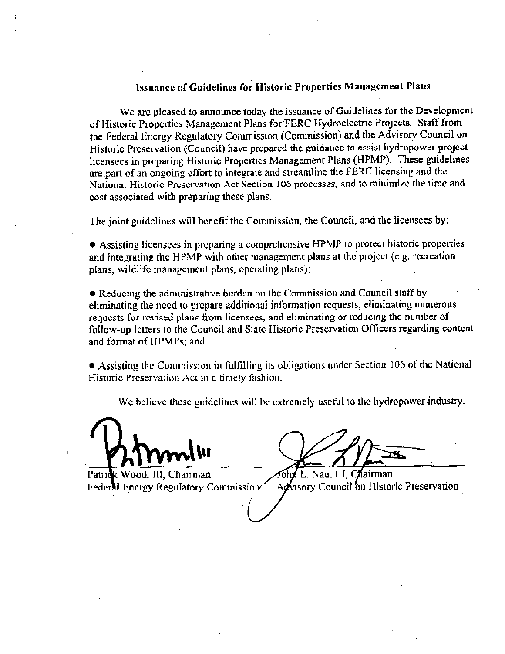#### Issuance of Guidelines for Historic Properties Management Plans

We are pleased to announce today the issuance of Guidelines for the Development of Historic Properties Management Plans for FERC Hydroclectric Projects. Staff from the Federal Energy Regulatory Commission (Commission) and the Advisory Council on Historic Preservation (Council) have prepared the guidance to assist hydropower project licensees in preparing Historic Properties Management Plans (HPMP). These guidelines are part of an ongoing effort to integrate and streamline the FERC licensing and the National Historic Preservation Act Section 106 processes, and to minimize the time and cost associated with preparing these plans.

The joint guidelines will benefit the Commission, the Council, and the licensees by:

• Assisting licensees in preparing a comprehensive HPMP to protect historic properties and integrating the HPMP with other management plans at the project (e.g. recreation plans, wildlife management plans, operating plans);

• Reducing the administrative burden on the Commission and Council staff by eliminating the need to prepare additional information requests, eliminating numerous requests for revised plans from licensees, and eliminating or reducing the number of follow-up letters to the Council and State Historic Preservation Officers regarding content and format of HPMPs; and

• Assisting the Commission in fulfilling its obligations under Section 106 of the National Historic Preservation Act in a timely fashion.

We believe these guidelines will be extremely useful to the hydropower industry.

Patrick Wood, III, Chairman **Federal Encrgy Regulatory Commission** 

John L. Nau. III. Chairman Advisory Council on Historic Preservation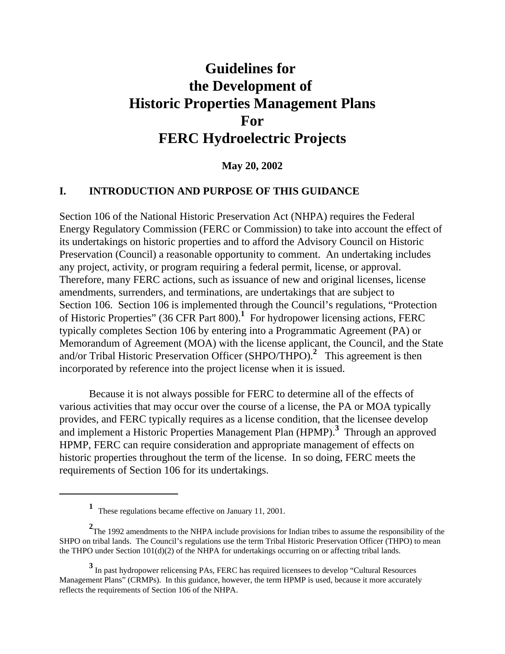# **Guidelines for the Development of Historic Properties Management Plans For FERC Hydroelectric Projects**

**May 20, 2002**

#### **I. INTRODUCTION AND PURPOSE OF THIS GUIDANCE**

Section 106 of the National Historic Preservation Act (NHPA) requires the Federal Energy Regulatory Commission (FERC or Commission) to take into account the effect of its undertakings on historic properties and to afford the Advisory Council on Historic Preservation (Council) a reasonable opportunity to comment. An undertaking includes any project, activity, or program requiring a federal permit, license, or approval. Therefore, many FERC actions, such as issuance of new and original licenses, license amendments, surrenders, and terminations, are undertakings that are subject to Section 106. Section 106 is implemented through the Council's regulations, "Protection of Historic Properties" (36 CFR Part 800).**<sup>1</sup>** For hydropower licensing actions, FERC typically completes Section 106 by entering into a Programmatic Agreement (PA) or Memorandum of Agreement (MOA) with the license applicant, the Council, and the State and/or Tribal Historic Preservation Officer (SHPO/THPO).**<sup>2</sup>** This agreement is then incorporated by reference into the project license when it is issued.

Because it is not always possible for FERC to determine all of the effects of various activities that may occur over the course of a license, the PA or MOA typically provides, and FERC typically requires as a license condition, that the licensee develop and implement a Historic Properties Management Plan (HPMP).**<sup>3</sup>** Through an approved HPMP, FERC can require consideration and appropriate management of effects on historic properties throughout the term of the license. In so doing, FERC meets the requirements of Section 106 for its undertakings.

**<sup>1</sup>** These regulations became effective on January 11, 2001.

<sup>&</sup>lt;sup>2</sup>The 1992 amendments to the NHPA include provisions for Indian tribes to assume the responsibility of the SHPO on tribal lands. The Council's regulations use the term Tribal Historic Preservation Officer (THPO) to mean the THPO under Section  $101(d)(2)$  of the NHPA for undertakings occurring on or affecting tribal lands.

**<sup>3</sup>** In past hydropower relicensing PAs, FERC has required licensees to develop "Cultural Resources Management Plans" (CRMPs). In this guidance, however, the term HPMP is used, because it more accurately reflects the requirements of Section 106 of the NHPA.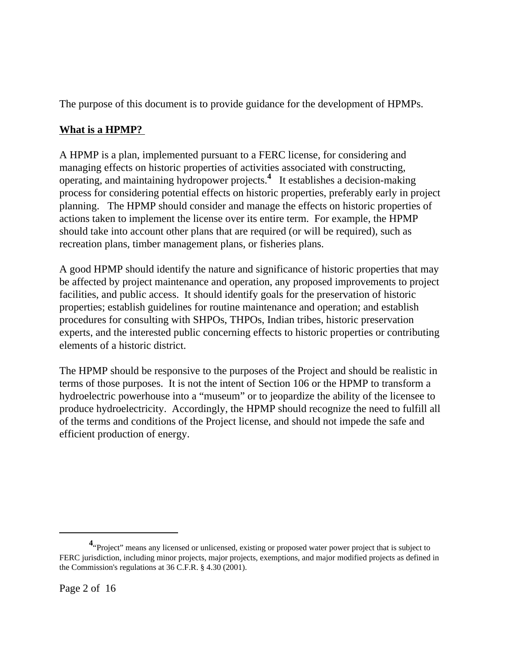The purpose of this document is to provide guidance for the development of HPMPs.

# **What is a HPMP?**

A HPMP is a plan, implemented pursuant to a FERC license, for considering and managing effects on historic properties of activities associated with constructing, operating, and maintaining hydropower projects.**<sup>4</sup>** It establishes a decision-making process for considering potential effects on historic properties, preferably early in project planning. The HPMP should consider and manage the effects on historic properties of actions taken to implement the license over its entire term. For example, the HPMP should take into account other plans that are required (or will be required), such as recreation plans, timber management plans, or fisheries plans.

A good HPMP should identify the nature and significance of historic properties that may be affected by project maintenance and operation, any proposed improvements to project facilities, and public access. It should identify goals for the preservation of historic properties; establish guidelines for routine maintenance and operation; and establish procedures for consulting with SHPOs, THPOs, Indian tribes, historic preservation experts, and the interested public concerning effects to historic properties or contributing elements of a historic district.

The HPMP should be responsive to the purposes of the Project and should be realistic in terms of those purposes. It is not the intent of Section 106 or the HPMP to transform a hydroelectric powerhouse into a "museum" or to jeopardize the ability of the licensee to produce hydroelectricity. Accordingly, the HPMP should recognize the need to fulfill all of the terms and conditions of the Project license, and should not impede the safe and efficient production of energy.

**<sup>4</sup>** "Project" means any licensed or unlicensed, existing or proposed water power project that is subject to FERC jurisdiction, including minor projects, major projects, exemptions, and major modified projects as defined in the Commission's regulations at 36 C.F.R. § 4.30 (2001).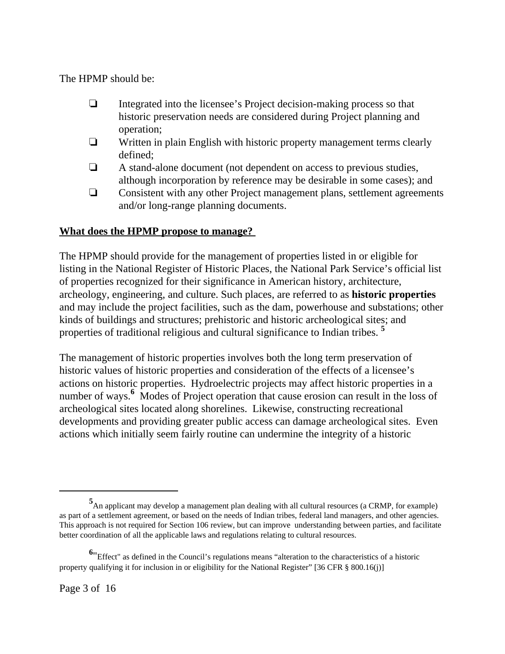The HPMP should be:

- $\Box$  Integrated into the licensee's Project decision-making process so that historic preservation needs are considered during Project planning and operation;
- $\Box$  Written in plain English with historic property management terms clearly defined;
- $\Box$  A stand-alone document (not dependent on access to previous studies, although incorporation by reference may be desirable in some cases); and
- $\Box$  Consistent with any other Project management plans, settlement agreements and/or long-range planning documents.

# **What does the HPMP propose to manage?**

The HPMP should provide for the management of properties listed in or eligible for listing in the National Register of Historic Places, the National Park Service's official list of properties recognized for their significance in American history, architecture, archeology, engineering, and culture. Such places, are referred to as **historic properties** and may include the project facilities, such as the dam, powerhouse and substations; other kinds of buildings and structures; prehistoric and historic archeological sites; and properties of traditional religious and cultural significance to Indian tribes. **<sup>5</sup>**

The management of historic properties involves both the long term preservation of historic values of historic properties and consideration of the effects of a licensee's actions on historic properties. Hydroelectric projects may affect historic properties in a number of ways.<sup>6</sup> Modes of Project operation that cause erosion can result in the loss of archeological sites located along shorelines. Likewise, constructing recreational developments and providing greater public access can damage archeological sites. Even actions which initially seem fairly routine can undermine the integrity of a historic

**<sup>5</sup>** An applicant may develop a management plan dealing with all cultural resources (a CRMP, for example) as part of a settlement agreement, or based on the needs of Indian tribes, federal land managers, and other agencies. This approach is not required for Section 106 review, but can improve understanding between parties, and facilitate better coordination of all the applicable laws and regulations relating to cultural resources.

**<sup>6</sup>** "Effect" as defined in the Council's regulations means "alteration to the characteristics of a historic property qualifying it for inclusion in or eligibility for the National Register" [36 CFR § 800.16(j)]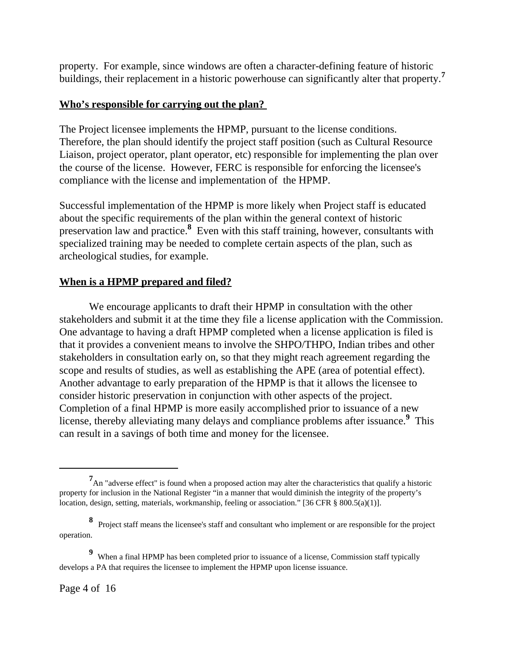property. For example, since windows are often a character-defining feature of historic buildings, their replacement in a historic powerhouse can significantly alter that property.**<sup>7</sup>**

## **Who's responsible for carrying out the plan?**

The Project licensee implements the HPMP, pursuant to the license conditions. Therefore, the plan should identify the project staff position (such as Cultural Resource Liaison, project operator, plant operator, etc) responsible for implementing the plan over the course of the license. However, FERC is responsible for enforcing the licensee's compliance with the license and implementation of the HPMP.

Successful implementation of the HPMP is more likely when Project staff is educated about the specific requirements of the plan within the general context of historic preservation law and practice.**<sup>8</sup>** Even with this staff training, however, consultants with specialized training may be needed to complete certain aspects of the plan, such as archeological studies, for example.

## **When is a HPMP prepared and filed?**

We encourage applicants to draft their HPMP in consultation with the other stakeholders and submit it at the time they file a license application with the Commission. One advantage to having a draft HPMP completed when a license application is filed is that it provides a convenient means to involve the SHPO/THPO, Indian tribes and other stakeholders in consultation early on, so that they might reach agreement regarding the scope and results of studies, as well as establishing the APE (area of potential effect). Another advantage to early preparation of the HPMP is that it allows the licensee to consider historic preservation in conjunction with other aspects of the project. Completion of a final HPMP is more easily accomplished prior to issuance of a new license, thereby alleviating many delays and compliance problems after issuance.**<sup>9</sup>** This can result in a savings of both time and money for the licensee.

<sup>&</sup>lt;sup>7</sup> An "adverse effect" is found when a proposed action may alter the characteristics that qualify a historic property for inclusion in the National Register "in a manner that would diminish the integrity of the property's location, design, setting, materials, workmanship, feeling or association." [36 CFR  $\S$  800.5(a)(1)].

**<sup>8</sup>** Project staff means the licensee's staff and consultant who implement or are responsible for the project operation.

**<sup>9</sup>** When a final HPMP has been completed prior to issuance of a license, Commission staff typically develops a PA that requires the licensee to implement the HPMP upon license issuance.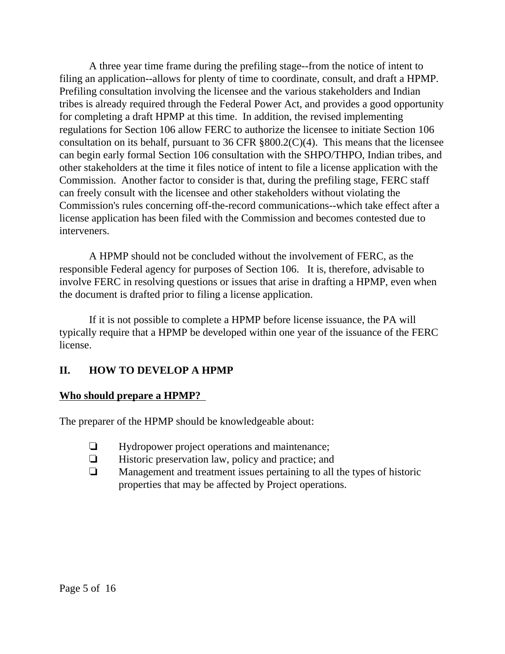A three year time frame during the prefiling stage--from the notice of intent to filing an application--allows for plenty of time to coordinate, consult, and draft a HPMP. Prefiling consultation involving the licensee and the various stakeholders and Indian tribes is already required through the Federal Power Act, and provides a good opportunity for completing a draft HPMP at this time. In addition, the revised implementing regulations for Section 106 allow FERC to authorize the licensee to initiate Section 106 consultation on its behalf, pursuant to 36 CFR §800.2(C)(4). This means that the licensee can begin early formal Section 106 consultation with the SHPO/THPO, Indian tribes, and other stakeholders at the time it files notice of intent to file a license application with the Commission. Another factor to consider is that, during the prefiling stage, FERC staff can freely consult with the licensee and other stakeholders without violating the Commission's rules concerning off-the-record communications--which take effect after a license application has been filed with the Commission and becomes contested due to interveners.

A HPMP should not be concluded without the involvement of FERC, as the responsible Federal agency for purposes of Section 106. It is, therefore, advisable to involve FERC in resolving questions or issues that arise in drafting a HPMP, even when the document is drafted prior to filing a license application.

If it is not possible to complete a HPMP before license issuance, the PA will typically require that a HPMP be developed within one year of the issuance of the FERC license.

# **II. HOW TO DEVELOP A HPMP**

## **Who should prepare a HPMP?**

The preparer of the HPMP should be knowledgeable about:

- $\Box$  Hydropower project operations and maintenance;
- $\Box$  Historic preservation law, policy and practice; and
- $\Box$  Management and treatment issues pertaining to all the types of historic properties that may be affected by Project operations.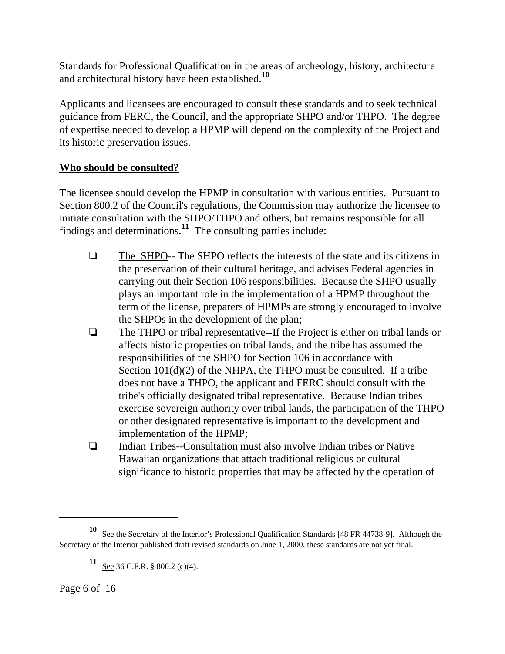Standards for Professional Qualification in the areas of archeology, history, architecture and architectural history have been established.**<sup>10</sup>**

Applicants and licensees are encouraged to consult these standards and to seek technical guidance from FERC, the Council, and the appropriate SHPO and/or THPO. The degree of expertise needed to develop a HPMP will depend on the complexity of the Project and its historic preservation issues.

# **Who should be consulted?**

The licensee should develop the HPMP in consultation with various entities. Pursuant to Section 800.2 of the Council's regulations, the Commission may authorize the licensee to initiate consultation with the SHPO/THPO and others, but remains responsible for all findings and determinations.**11** The consulting parties include:

- $\Box$  The SHPO-- The SHPO reflects the interests of the state and its citizens in the preservation of their cultural heritage, and advises Federal agencies in carrying out their Section 106 responsibilities. Because the SHPO usually plays an important role in the implementation of a HPMP throughout the term of the license, preparers of HPMPs are strongly encouraged to involve the SHPOs in the development of the plan;
- $\Box$  The THPO or tribal representative--If the Project is either on tribal lands or affects historic properties on tribal lands, and the tribe has assumed the responsibilities of the SHPO for Section 106 in accordance with Section  $101(d)(2)$  of the NHPA, the THPO must be consulted. If a tribe does not have a THPO, the applicant and FERC should consult with the tribe's officially designated tribal representative. Because Indian tribes exercise sovereign authority over tribal lands, the participation of the THPO or other designated representative is important to the development and implementation of the HPMP;
- $\Box$  Indian Tribes--Consultation must also involve Indian tribes or Native Hawaiian organizations that attach traditional religious or cultural significance to historic properties that may be affected by the operation of

<sup>10</sup> See the Secretary of the Interior's Professional Qualification Standards [48 FR 44738-9]. Although the Secretary of the Interior published draft revised standards on June 1, 2000, these standards are not yet final.

**<sup>11</sup>** <u>See</u> 36 C.F.R. § 800.2 (c)(4).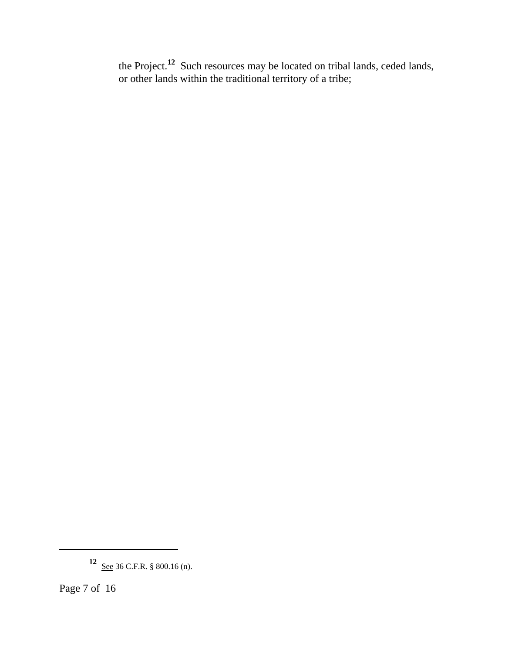the Project.**12** Such resources may be located on tribal lands, ceded lands, or other lands within the traditional territory of a tribe;

**<sup>12</sup>** <u>See</u> 36 C.F.R. § 800.16 (n).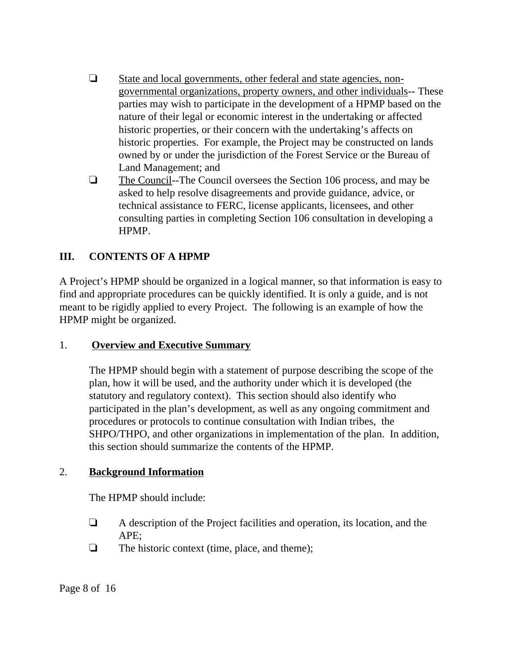- $\Box$  State and local governments, other federal and state agencies, nongovernmental organizations, property owners, and other individuals-- These parties may wish to participate in the development of a HPMP based on the nature of their legal or economic interest in the undertaking or affected historic properties, or their concern with the undertaking's affects on historic properties. For example, the Project may be constructed on lands owned by or under the jurisdiction of the Forest Service or the Bureau of Land Management; and
- $\Box$  The Council--The Council oversees the Section 106 process, and may be asked to help resolve disagreements and provide guidance, advice, or technical assistance to FERC, license applicants, licensees, and other consulting parties in completing Section 106 consultation in developing a HPMP.

# **III. CONTENTS OF A HPMP**

A Project's HPMP should be organized in a logical manner, so that information is easy to find and appropriate procedures can be quickly identified. It is only a guide, and is not meant to be rigidly applied to every Project. The following is an example of how the HPMP might be organized.

## 1. **Overview and Executive Summary**

The HPMP should begin with a statement of purpose describing the scope of the plan, how it will be used, and the authority under which it is developed (the statutory and regulatory context). This section should also identify who participated in the plan's development, as well as any ongoing commitment and procedures or protocols to continue consultation with Indian tribes, the SHPO/THPO, and other organizations in implementation of the plan. In addition, this section should summarize the contents of the HPMP.

## 2. **Background Information**

The HPMP should include:

- $\Box$  A description of the Project facilities and operation, its location, and the APE;
- $\Box$  The historic context (time, place, and theme);

Page 8 of 16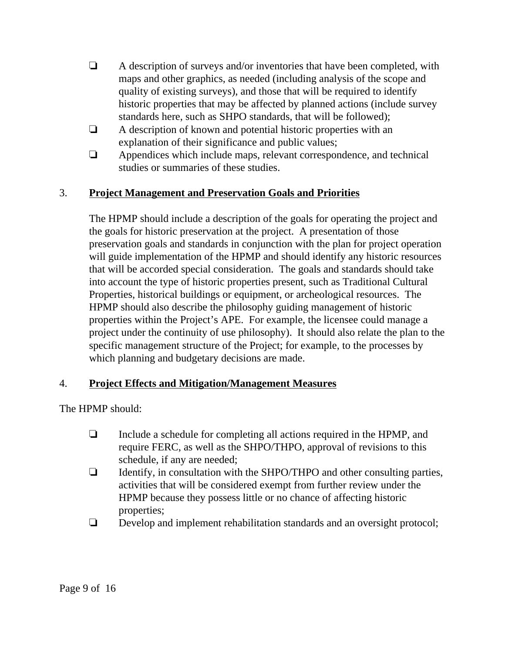- $\Box$  A description of surveys and/or inventories that have been completed, with maps and other graphics, as needed (including analysis of the scope and quality of existing surveys), and those that will be required to identify historic properties that may be affected by planned actions (include survey standards here, such as SHPO standards, that will be followed);
- $\Box$  A description of known and potential historic properties with an explanation of their significance and public values;
- $\Box$  Appendices which include maps, relevant correspondence, and technical studies or summaries of these studies.

# 3. **Project Management and Preservation Goals and Priorities**

The HPMP should include a description of the goals for operating the project and the goals for historic preservation at the project. A presentation of those preservation goals and standards in conjunction with the plan for project operation will guide implementation of the HPMP and should identify any historic resources that will be accorded special consideration. The goals and standards should take into account the type of historic properties present, such as Traditional Cultural Properties, historical buildings or equipment, or archeological resources. The HPMP should also describe the philosophy guiding management of historic properties within the Project's APE. For example, the licensee could manage a project under the continuity of use philosophy). It should also relate the plan to the specific management structure of the Project; for example, to the processes by which planning and budgetary decisions are made.

## 4. **Project Effects and Mitigation/Management Measures**

The HPMP should:

- $\Box$  Include a schedule for completing all actions required in the HPMP, and require FERC, as well as the SHPO/THPO, approval of revisions to this schedule, if any are needed;
- $\Box$  Identify, in consultation with the SHPO/THPO and other consulting parties, activities that will be considered exempt from further review under the HPMP because they possess little or no chance of affecting historic properties;
- $\Box$  Develop and implement rehabilitation standards and an oversight protocol;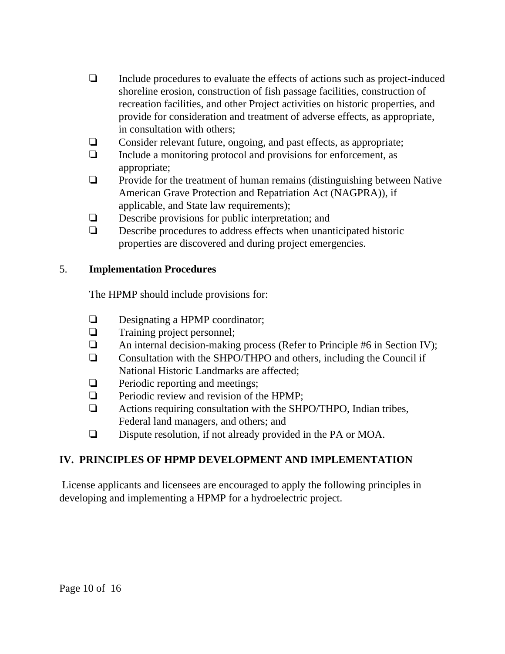- $\Box$  Include procedures to evaluate the effects of actions such as project-induced shoreline erosion, construction of fish passage facilities, construction of recreation facilities, and other Project activities on historic properties, and provide for consideration and treatment of adverse effects, as appropriate, in consultation with others;
- $\Box$  Consider relevant future, ongoing, and past effects, as appropriate;
- $\Box$  Include a monitoring protocol and provisions for enforcement, as appropriate;
- $\Box$  Provide for the treatment of human remains (distinguishing between Native American Grave Protection and Repatriation Act (NAGPRA)), if applicable, and State law requirements);
- $\Box$  Describe provisions for public interpretation; and
- $\Box$  Describe procedures to address effects when unanticipated historic properties are discovered and during project emergencies.

# 5. **Implementation Procedures**

The HPMP should include provisions for:

- $\Box$  Designating a HPMP coordinator;
- $\Box$  Training project personnel;
- $\Box$  An internal decision-making process (Refer to Principle #6 in Section IV);
- $\Box$  Consultation with the SHPO/THPO and others, including the Council if National Historic Landmarks are affected;
- $\Box$  Periodic reporting and meetings;
- $\Box$  Periodic review and revision of the HPMP:
- $\Box$  Actions requiring consultation with the SHPO/THPO, Indian tribes, Federal land managers, and others; and
- $\Box$  Dispute resolution, if not already provided in the PA or MOA.

# **IV. PRINCIPLES OF HPMP DEVELOPMENT AND IMPLEMENTATION**

 License applicants and licensees are encouraged to apply the following principles in developing and implementing a HPMP for a hydroelectric project.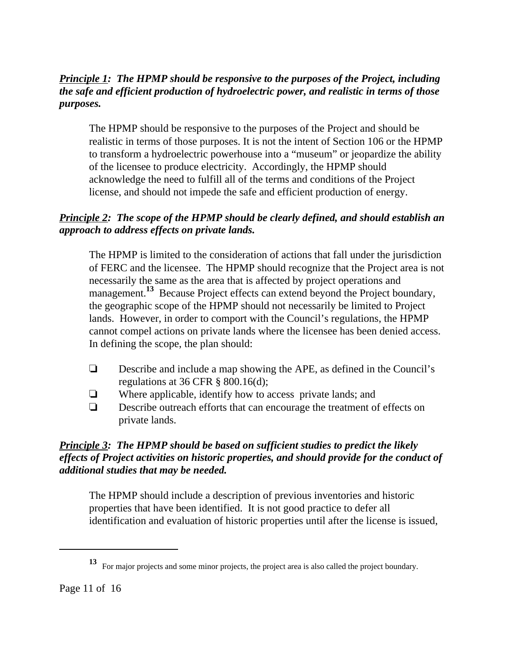# *Principle 1: The HPMP should be responsive to the purposes of the Project, including the safe and efficient production of hydroelectric power, and realistic in terms of those purposes.*

The HPMP should be responsive to the purposes of the Project and should be realistic in terms of those purposes. It is not the intent of Section 106 or the HPMP to transform a hydroelectric powerhouse into a "museum" or jeopardize the ability of the licensee to produce electricity. Accordingly, the HPMP should acknowledge the need to fulfill all of the terms and conditions of the Project license, and should not impede the safe and efficient production of energy.

# *Principle 2: The scope of the HPMP should be clearly defined, and should establish an approach to address effects on private lands.*

The HPMP is limited to the consideration of actions that fall under the jurisdiction of FERC and the licensee. The HPMP should recognize that the Project area is not necessarily the same as the area that is affected by project operations and management.<sup>13</sup> Because Project effects can extend beyond the Project boundary, the geographic scope of the HPMP should not necessarily be limited to Project lands. However, in order to comport with the Council's regulations, the HPMP cannot compel actions on private lands where the licensee has been denied access. In defining the scope, the plan should:

- $\Box$  Describe and include a map showing the APE, as defined in the Council's regulations at  $36$  CFR  $\S$  800.16(d);
- $\Box$  Where applicable, identify how to access private lands; and
- $\Box$  Describe outreach efforts that can encourage the treatment of effects on private lands.

# *Principle 3: The HPMP should be based on sufficient studies to predict the likely effects of Project activities on historic properties, and should provide for the conduct of additional studies that may be needed.*

The HPMP should include a description of previous inventories and historic properties that have been identified. It is not good practice to defer all identification and evaluation of historic properties until after the license is issued,

**<sup>13</sup>** For major projects and some minor projects, the project area is also called the project boundary.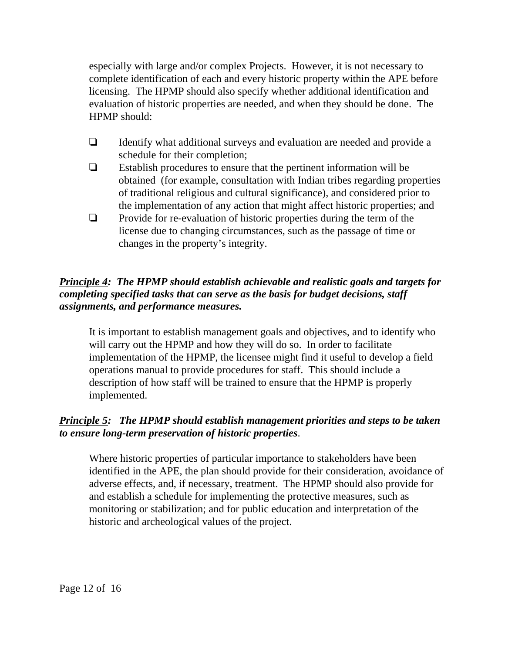especially with large and/or complex Projects. However, it is not necessary to complete identification of each and every historic property within the APE before licensing. The HPMP should also specify whether additional identification and evaluation of historic properties are needed, and when they should be done. The HPMP should:

- $\Box$  Identify what additional surveys and evaluation are needed and provide a schedule for their completion;
- $\Box$  Establish procedures to ensure that the pertinent information will be obtained (for example, consultation with Indian tribes regarding properties of traditional religious and cultural significance), and considered prior to the implementation of any action that might affect historic properties; and
- $\Box$  Provide for re-evaluation of historic properties during the term of the license due to changing circumstances, such as the passage of time or changes in the property's integrity.

# *Principle 4: The HPMP should establish achievable and realistic goals and targets for completing specified tasks that can serve as the basis for budget decisions, staff assignments, and performance measures.*

It is important to establish management goals and objectives, and to identify who will carry out the HPMP and how they will do so. In order to facilitate implementation of the HPMP, the licensee might find it useful to develop a field operations manual to provide procedures for staff. This should include a description of how staff will be trained to ensure that the HPMP is properly implemented.

# *Principle 5: The HPMP should establish management priorities and steps to be taken to ensure long-term preservation of historic properties*.

Where historic properties of particular importance to stakeholders have been identified in the APE, the plan should provide for their consideration, avoidance of adverse effects, and, if necessary, treatment. The HPMP should also provide for and establish a schedule for implementing the protective measures, such as monitoring or stabilization; and for public education and interpretation of the historic and archeological values of the project.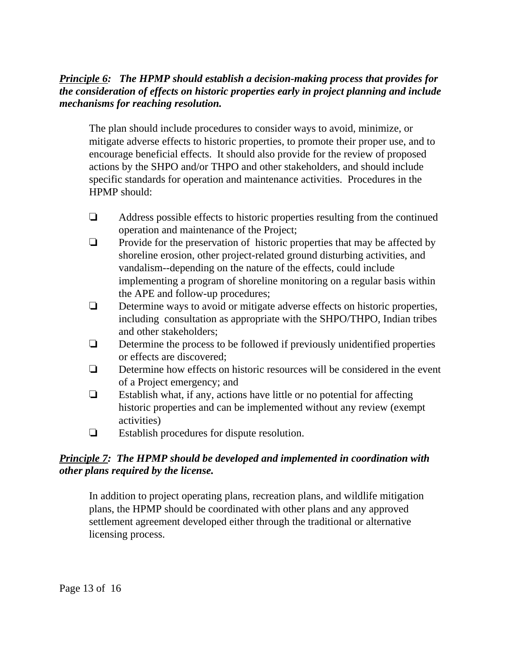## *Principle 6: The HPMP should establish a decision-making process that provides for the consideration of effects on historic properties early in project planning and include mechanisms for reaching resolution.*

The plan should include procedures to consider ways to avoid, minimize, or mitigate adverse effects to historic properties, to promote their proper use, and to encourage beneficial effects. It should also provide for the review of proposed actions by the SHPO and/or THPO and other stakeholders, and should include specific standards for operation and maintenance activities. Procedures in the HPMP should:

- $\Box$  Address possible effects to historic properties resulting from the continued operation and maintenance of the Project;
- $\Box$  Provide for the preservation of historic properties that may be affected by shoreline erosion, other project-related ground disturbing activities, and vandalism--depending on the nature of the effects, could include implementing a program of shoreline monitoring on a regular basis within the APE and follow-up procedures;
- $\Box$  Determine ways to avoid or mitigate adverse effects on historic properties, including consultation as appropriate with the SHPO/THPO, Indian tribes and other stakeholders;
- $\Box$  Determine the process to be followed if previously unidentified properties or effects are discovered;
- $\Box$  Determine how effects on historic resources will be considered in the event of a Project emergency; and
- $\Box$  Establish what, if any, actions have little or no potential for affecting historic properties and can be implemented without any review (exempt activities)
- $\Box$  Establish procedures for dispute resolution.

## *Principle 7: The HPMP should be developed and implemented in coordination with other plans required by the license.*

In addition to project operating plans, recreation plans, and wildlife mitigation plans, the HPMP should be coordinated with other plans and any approved settlement agreement developed either through the traditional or alternative licensing process.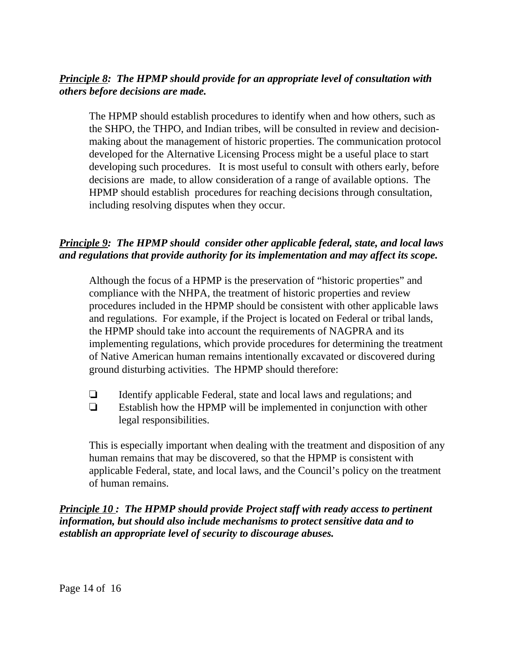## *Principle 8: The HPMP should provide for an appropriate level of consultation with others before decisions are made.*

The HPMP should establish procedures to identify when and how others, such as the SHPO, the THPO, and Indian tribes, will be consulted in review and decisionmaking about the management of historic properties. The communication protocol developed for the Alternative Licensing Process might be a useful place to start developing such procedures. It is most useful to consult with others early, before decisions are made, to allow consideration of a range of available options. The HPMP should establish procedures for reaching decisions through consultation, including resolving disputes when they occur.

# *Principle 9: The HPMP should consider other applicable federal, state, and local laws and regulations that provide authority for its implementation and may affect its scope.*

Although the focus of a HPMP is the preservation of "historic properties" and compliance with the NHPA, the treatment of historic properties and review procedures included in the HPMP should be consistent with other applicable laws and regulations. For example, if the Project is located on Federal or tribal lands, the HPMP should take into account the requirements of NAGPRA and its implementing regulations, which provide procedures for determining the treatment of Native American human remains intentionally excavated or discovered during ground disturbing activities. The HPMP should therefore:

 $\Box$  Identify applicable Federal, state and local laws and regulations; and  $\Box$  Establish how the HPMP will be implemented in conjunction with other legal responsibilities.

This is especially important when dealing with the treatment and disposition of any human remains that may be discovered, so that the HPMP is consistent with applicable Federal, state, and local laws, and the Council's policy on the treatment of human remains.

*Principle 10 : The HPMP should provide Project staff with ready access to pertinent information, but should also include mechanisms to protect sensitive data and to establish an appropriate level of security to discourage abuses.*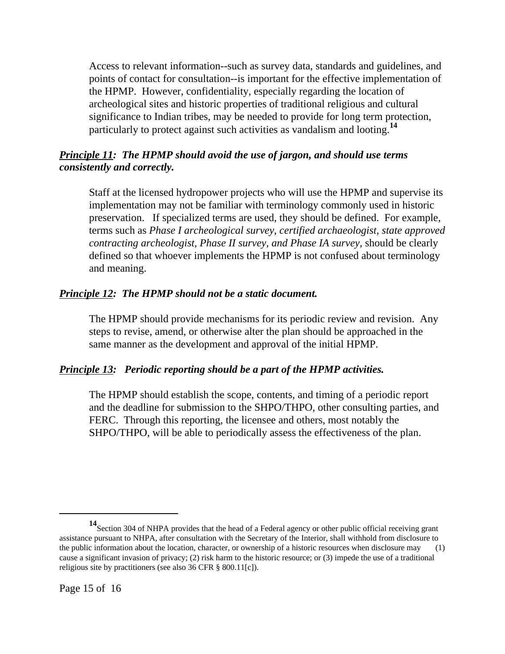Access to relevant information--such as survey data, standards and guidelines, and points of contact for consultation--is important for the effective implementation of the HPMP. However, confidentiality, especially regarding the location of archeological sites and historic properties of traditional religious and cultural significance to Indian tribes, may be needed to provide for long term protection, particularly to protect against such activities as vandalism and looting.**<sup>14</sup>**

## *Principle 11: The HPMP should avoid the use of jargon, and should use terms consistently and correctly.*

Staff at the licensed hydropower projects who will use the HPMP and supervise its implementation may not be familiar with terminology commonly used in historic preservation. If specialized terms are used, they should be defined. For example, terms such as *Phase I archeological survey, certified archaeologist, state approved contracting archeologist, Phase II survey, and Phase IA survey,* should be clearly defined so that whoever implements the HPMP is not confused about terminology and meaning.

## *Principle 12: The HPMP should not be a static document.*

The HPMP should provide mechanisms for its periodic review and revision. Any steps to revise, amend, or otherwise alter the plan should be approached in the same manner as the development and approval of the initial HPMP.

# *Principle 13: Periodic reporting should be a part of the HPMP activities.*

The HPMP should establish the scope, contents, and timing of a periodic report and the deadline for submission to the SHPO/THPO, other consulting parties, and FERC. Through this reporting, the licensee and others, most notably the SHPO/THPO, will be able to periodically assess the effectiveness of the plan.

**<sup>14</sup>**Section 304 of NHPA provides that the head of a Federal agency or other public official receiving grant assistance pursuant to NHPA, after consultation with the Secretary of the Interior, shall withhold from disclosure to the public information about the location, character, or ownership of a historic resources when disclosure may (1) cause a significant invasion of privacy; (2) risk harm to the historic resource; or (3) impede the use of a traditional religious site by practitioners (see also 36 CFR § 800.11[c]).